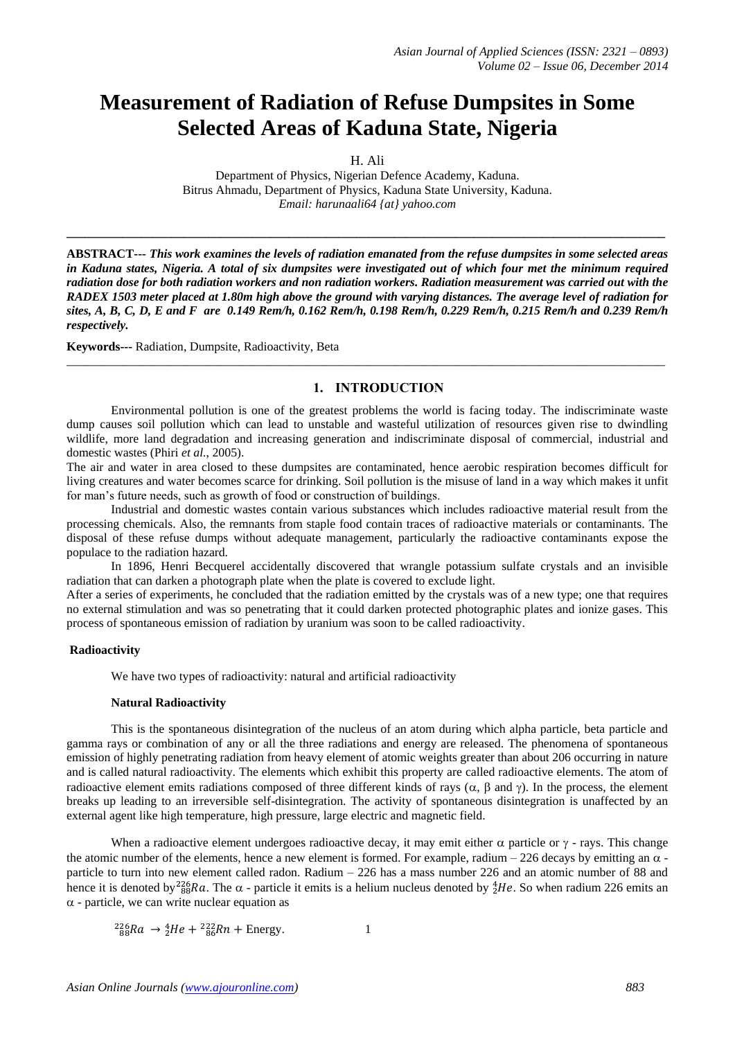# **Measurement of Radiation of Refuse Dumpsites in Some Selected Areas of Kaduna State, Nigeria**

H. Ali

Department of Physics, Nigerian Defence Academy, Kaduna. Bitrus Ahmadu, Department of Physics, Kaduna State University, Kaduna. *Email: harunaali64 {at} yahoo.com*

**\_\_\_\_\_\_\_\_\_\_\_\_\_\_\_\_\_\_\_\_\_\_\_\_\_\_\_\_\_\_\_\_\_\_\_\_\_\_\_\_\_\_\_\_\_\_\_\_\_\_\_\_\_\_\_\_\_\_\_\_\_\_\_\_\_\_\_\_\_\_\_\_\_\_\_\_\_\_\_\_\_\_\_\_\_\_\_\_\_\_\_\_\_\_\_\_\_**

**ABSTRACT---** *This work examines the levels of radiation emanated from the refuse dumpsites in some selected areas in Kaduna states, Nigeria. A total of six dumpsites were investigated out of which four met the minimum required radiation dose for both radiation workers and non radiation workers. Radiation measurement was carried out with the RADEX 1503 meter placed at 1.80m high above the ground with varying distances. The average level of radiation for sites, A, B, C, D, E and F are 0.149 Rem/h, 0.162 Rem/h, 0.198 Rem/h, 0.229 Rem/h, 0.215 Rem/h and 0.239 Rem/h respectively.*

**Keywords---** Radiation, Dumpsite, Radioactivity, Beta

# **1. INTRODUCTION**

Environmental pollution is one of the greatest problems the world is facing today. The indiscriminate waste dump causes soil pollution which can lead to unstable and wasteful utilization of resources given rise to dwindling wildlife, more land degradation and increasing generation and indiscriminate disposal of commercial, industrial and domestic wastes (Phiri *et al.*, 2005).

 $\_$  ,  $\_$  ,  $\_$  ,  $\_$  ,  $\_$  ,  $\_$  ,  $\_$  ,  $\_$  ,  $\_$  ,  $\_$  ,  $\_$  ,  $\_$  ,  $\_$  ,  $\_$  ,  $\_$  ,  $\_$  ,  $\_$  ,  $\_$  ,  $\_$  ,  $\_$  ,  $\_$  ,  $\_$  ,  $\_$  ,  $\_$  ,  $\_$  ,  $\_$  ,  $\_$  ,  $\_$  ,  $\_$  ,  $\_$  ,  $\_$  ,  $\_$  ,  $\_$  ,  $\_$  ,  $\_$  ,  $\_$  ,  $\_$  ,

The air and water in area closed to these dumpsites are contaminated, hence aerobic respiration becomes difficult for living creatures and water becomes scarce for drinking. Soil pollution is the misuse of land in a way which makes it unfit for man's future needs, such as growth of food or construction of buildings.

Industrial and domestic wastes contain various substances which includes radioactive material result from the processing chemicals. Also, the remnants from staple food contain traces of radioactive materials or contaminants. The disposal of these refuse dumps without adequate management, particularly the radioactive contaminants expose the populace to the radiation hazard.

In 1896, Henri Becquerel accidentally discovered that wrangle potassium sulfate crystals and an invisible radiation that can darken a photograph plate when the plate is covered to exclude light.

After a series of experiments, he concluded that the radiation emitted by the crystals was of a new type; one that requires no external stimulation and was so penetrating that it could darken protected photographic plates and ionize gases. This process of spontaneous emission of radiation by uranium was soon to be called radioactivity.

### **Radioactivity**

We have two types of radioactivity: natural and artificial radioactivity

#### **Natural Radioactivity**

This is the spontaneous disintegration of the nucleus of an atom during which alpha particle, beta particle and gamma rays or combination of any or all the three radiations and energy are released. The phenomena of spontaneous emission of highly penetrating radiation from heavy element of atomic weights greater than about 206 occurring in nature and is called natural radioactivity. The elements which exhibit this property are called radioactive elements. The atom of radioactive element emits radiations composed of three different kinds of rays ( $\alpha$ ,  $\beta$  and  $\gamma$ ). In the process, the element breaks up leading to an irreversible self-disintegration. The activity of spontaneous disintegration is unaffected by an external agent like high temperature, high pressure, large electric and magnetic field.

When a radioactive element undergoes radioactive decay, it may emit either  $\alpha$  particle or  $\gamma$  - rays. This change the atomic number of the elements, hence a new element is formed. For example, radium – 226 decays by emitting an  $\alpha$  particle to turn into new element called radon. Radium – 226 has a mass number 226 and an atomic number of 88 and hence it is denoted by  $^{226}_{88}Ra$ . The  $\alpha$  - particle it emits is a helium nucleus denoted by  $^{4}_{2}He$ . So when radium 226 emits an  $\alpha$  - particle, we can write nuclear equation as

$$
^{226}_{88}Ra \rightarrow ^{4}_{2}He + ^{222}_{86}Rn + \text{Energy.}
$$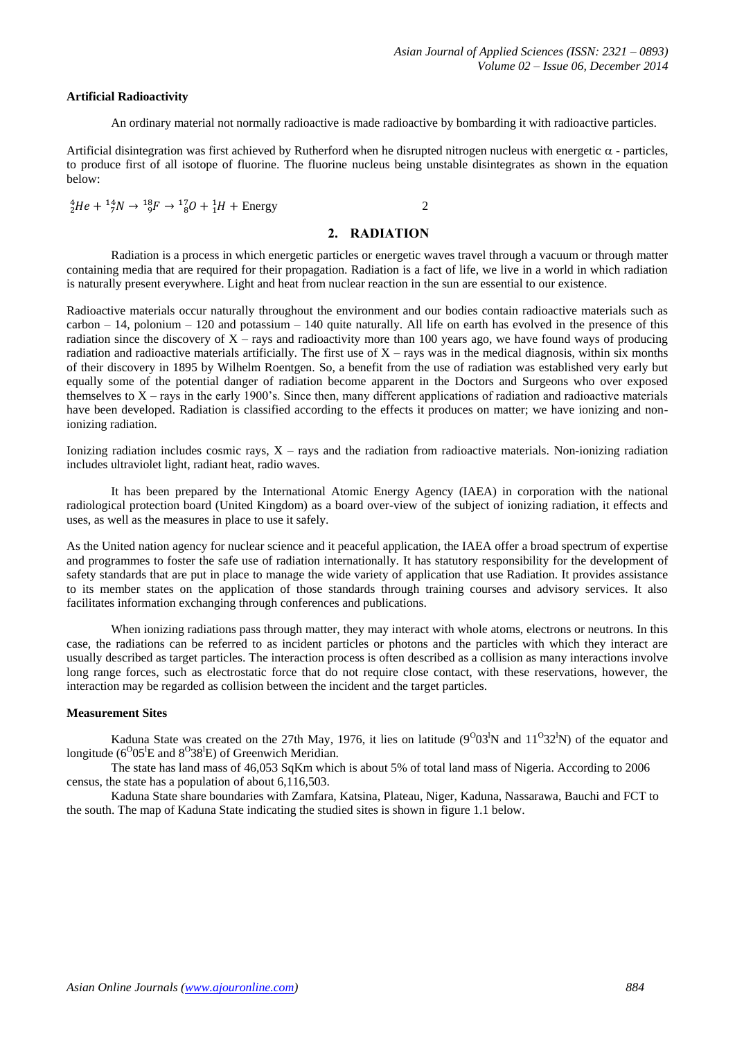#### **Artificial Radioactivity**

An ordinary material not normally radioactive is made radioactive by bombarding it with radioactive particles.

Artificial disintegration was first achieved by Rutherford when he disrupted nitrogen nucleus with energetic  $\alpha$  - particles, to produce first of all isotope of fluorine. The fluorine nucleus being unstable disintegrates as shown in the equation below:

$$
{}_{2}^{4}He + {}_{7}^{14}N \rightarrow {}_{9}^{18}F \rightarrow {}_{8}^{17}O + {}_{1}^{1}H + \text{Energy}
$$
 2

#### **2. RADIATION**

Radiation is a process in which energetic particles or energetic waves travel through a vacuum or through matter containing media that are required for their propagation. Radiation is a fact of life, we live in a world in which radiation is naturally present everywhere. Light and heat from nuclear reaction in the sun are essential to our existence.

Radioactive materials occur naturally throughout the environment and our bodies contain radioactive materials such as  $carbon - 14$ , polonium – 120 and potassium – 140 quite naturally. All life on earth has evolved in the presence of this radiation since the discovery of  $X$  – rays and radioactivity more than 100 years ago, we have found ways of producing radiation and radioactive materials artificially. The first use of  $X$  – rays was in the medical diagnosis, within six months of their discovery in 1895 by Wilhelm Roentgen. So, a benefit from the use of radiation was established very early but equally some of the potential danger of radiation become apparent in the Doctors and Surgeons who over exposed themselves to  $X$  – rays in the early 1900's. Since then, many different applications of radiation and radioactive materials have been developed. Radiation is classified according to the effects it produces on matter; we have ionizing and nonionizing radiation.

Ionizing radiation includes cosmic rays,  $X - rays$  and the radiation from radioactive materials. Non-ionizing radiation includes ultraviolet light, radiant heat, radio waves.

It has been prepared by the International Atomic Energy Agency (IAEA) in corporation with the national radiological protection board (United Kingdom) as a board over-view of the subject of ionizing radiation, it effects and uses, as well as the measures in place to use it safely.

As the United nation agency for nuclear science and it peaceful application, the IAEA offer a broad spectrum of expertise and programmes to foster the safe use of radiation internationally. It has statutory responsibility for the development of safety standards that are put in place to manage the wide variety of application that use Radiation. It provides assistance to its member states on the application of those standards through training courses and advisory services. It also facilitates information exchanging through conferences and publications.

When ionizing radiations pass through matter, they may interact with whole atoms, electrons or neutrons. In this case, the radiations can be referred to as incident particles or photons and the particles with which they interact are usually described as target particles. The interaction process is often described as a collision as many interactions involve long range forces, such as electrostatic force that do not require close contact, with these reservations, however, the interaction may be regarded as collision between the incident and the target particles.

#### **Measurement Sites**

Kaduna State was created on the 27th May, 1976, it lies on latitude  $(9^003^1N$  and  $11^032^1N)$  of the equator and longitude ( $6^{0}05^{1}E$  and  $8^{0}38^{1}E$ ) of Greenwich Meridian.

The state has land mass of 46,053 SqKm which is about 5% of total land mass of Nigeria. According to 2006 census, the state has a population of about 6,116,503.

Kaduna State share boundaries with Zamfara, Katsina, Plateau, Niger, Kaduna, Nassarawa, Bauchi and FCT to the south. The map of Kaduna State indicating the studied sites is shown in figure 1.1 below.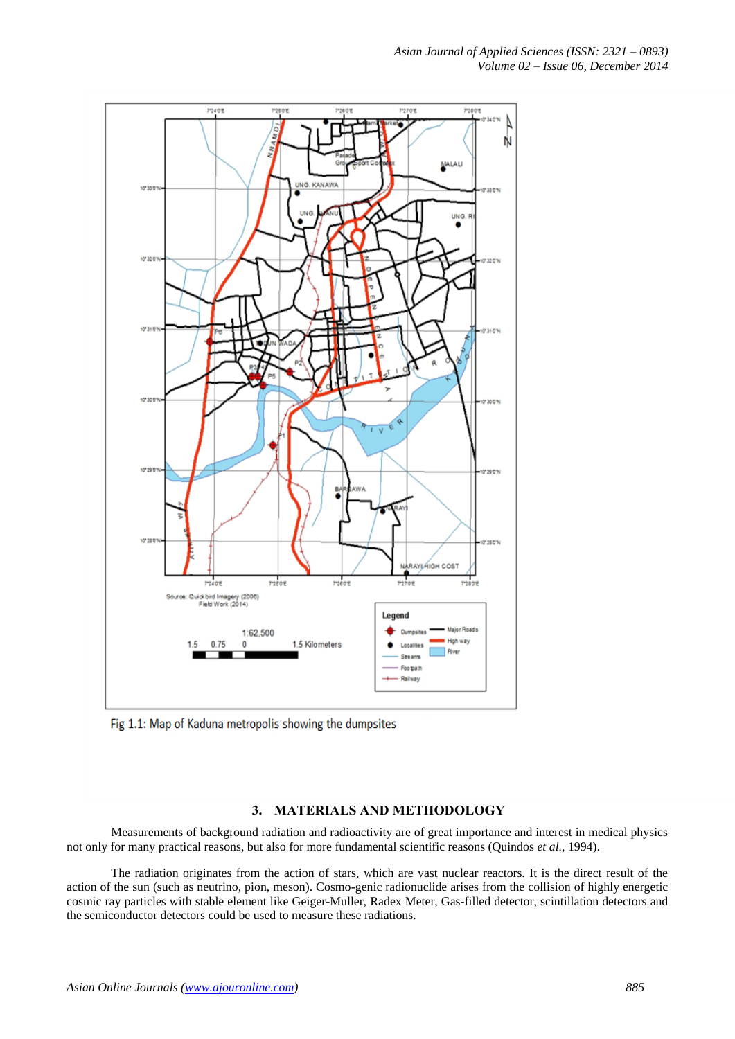

Fig 1.1: Map of Kaduna metropolis showing the dumpsites

# **3. MATERIALS AND METHODOLOGY**

Measurements of background radiation and radioactivity are of great importance and interest in medical physics not only for many practical reasons, but also for more fundamental scientific reasons (Quindos *et al.*, 1994).

The radiation originates from the action of stars, which are vast nuclear reactors. It is the direct result of the action of the sun (such as neutrino, pion, meson). Cosmo-genic radionuclide arises from the collision of highly energetic cosmic ray particles with stable element like Geiger-Muller, Radex Meter, Gas-filled detector, scintillation detectors and the semiconductor detectors could be used to measure these radiations.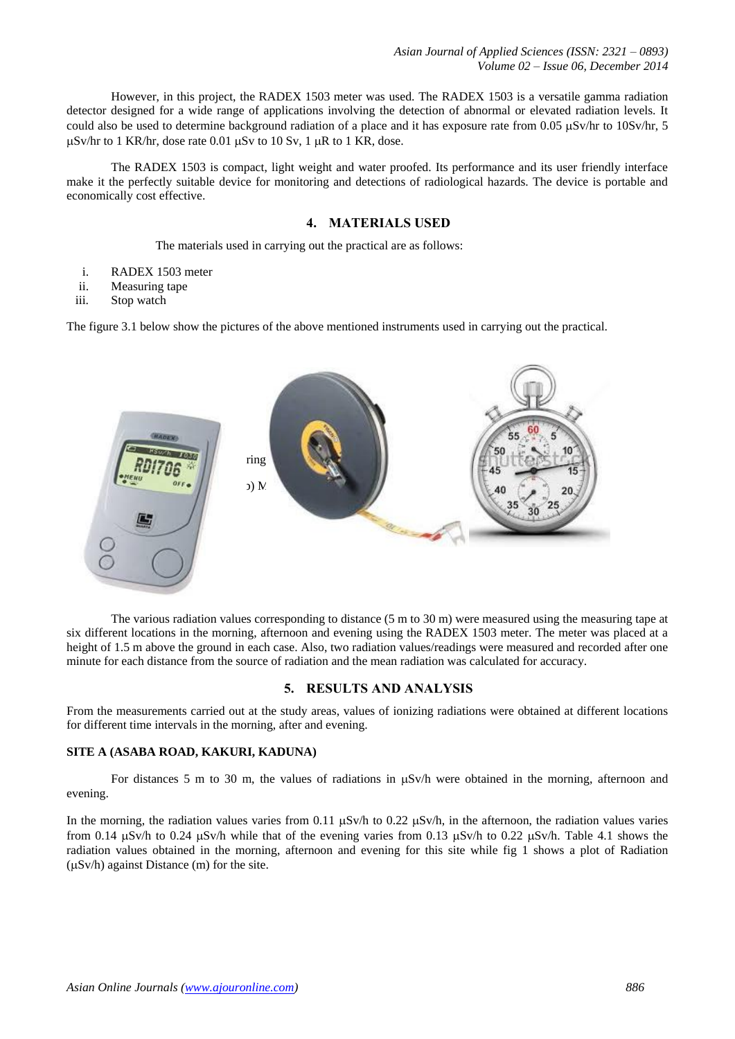However, in this project, the RADEX 1503 meter was used. The RADEX 1503 is a versatile gamma radiation detector designed for a wide range of applications involving the detection of abnormal or elevated radiation levels. It could also be used to determine background radiation of a place and it has exposure rate from 0.05 µSv/hr to 10Sv/hr, 5  $\mu$ Sv/hr to 1 KR/hr, dose rate 0.01  $\mu$ Sv to 10 Sv, 1  $\mu$ R to 1 KR, dose.

The RADEX 1503 is compact, light weight and water proofed. Its performance and its user friendly interface make it the perfectly suitable device for monitoring and detections of radiological hazards. The device is portable and economically cost effective.

# **4. MATERIALS USED**

The materials used in carrying out the practical are as follows:

- i. RADEX 1503 meter
- ii. Measuring tape
- iii. Stop watch

The figure 3.1 below show the pictures of the above mentioned instruments used in carrying out the practical.



The various radiation values corresponding to distance (5 m to 30 m) were measured using the measuring tape at six different locations in the morning, afternoon and evening using the RADEX 1503 meter. The meter was placed at a height of 1.5 m above the ground in each case. Also, two radiation values/readings were measured and recorded after one minute for each distance from the source of radiation and the mean radiation was calculated for accuracy.

### **5. RESULTS AND ANALYSIS**

From the measurements carried out at the study areas, values of ionizing radiations were obtained at different locations for different time intervals in the morning, after and evening.

### **SITE A (ASABA ROAD, KAKURI, KADUNA)**

For distances 5 m to 30 m, the values of radiations in  $\mu$ Sv/h were obtained in the morning, afternoon and evening.

In the morning, the radiation values varies from 0.11  $\mu$ Sv/h to 0.22  $\mu$ Sv/h, in the afternoon, the radiation values varies from 0.14  $\mu$ Sv/h to 0.24  $\mu$ Sv/h while that of the evening varies from 0.13  $\mu$ Sv/h to 0.22  $\mu$ Sv/h. Table 4.1 shows the radiation values obtained in the morning, afternoon and evening for this site while fig 1 shows a plot of Radiation  $(\mu Sv/h)$  against Distance (m) for the site.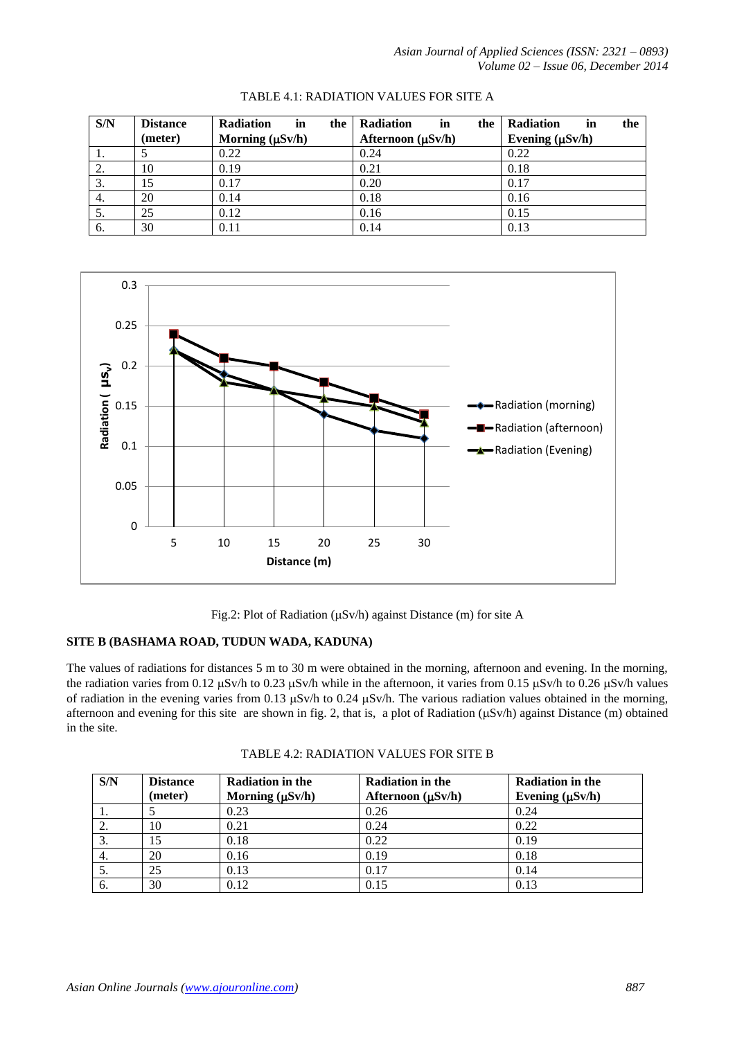| S/N | <b>Distance</b> | <b>Radiation</b><br>in<br>the | <b>Radiation</b><br>in<br>the | <b>Radiation</b><br>the<br>in |
|-----|-----------------|-------------------------------|-------------------------------|-------------------------------|
|     | (meter)         | Morning $(\mu Sv/h)$          | Afternoon (µSv/h)             | Evening $(\mu Sv/h)$          |
| Ι.  |                 | 0.22                          | 0.24                          | 0.22                          |
| 2.  | 10              | 0.19                          | 0.21                          | 0.18                          |
| 3.  | 15              | 0.17                          | 0.20                          | 0.17                          |
| 4.  | 20              | 0.14                          | 0.18                          | 0.16                          |
| 5.  | 25              | 0.12                          | 0.16                          | 0.15                          |
| 6.  | 30              | 0.11                          | 0.14                          | 0.13                          |

## TABLE 4.1: RADIATION VALUES FOR SITE A



Fig.2: Plot of Radiation ( $\mu$ Sv/h) against Distance (m) for site A

# **SITE B (BASHAMA ROAD, TUDUN WADA, KADUNA)**

The values of radiations for distances 5 m to 30 m were obtained in the morning, afternoon and evening. In the morning, the radiation varies from 0.12  $\mu$ Sv/h to 0.23  $\mu$ Sv/h while in the afternoon, it varies from 0.15  $\mu$ Sv/h to 0.26  $\mu$ Sv/h values of radiation in the evening varies from 0.13  $\mu$ Sv/h to 0.24  $\mu$ Sv/h. The various radiation values obtained in the morning, afternoon and evening for this site are shown in fig. 2, that is, a plot of Radiation  $(\mu Sv/h)$  against Distance (m) obtained in the site.

| S/N | <b>Distance</b> | <b>Radiation in the</b> | <b>Radiation in the</b> | <b>Radiation in the</b> |
|-----|-----------------|-------------------------|-------------------------|-------------------------|
|     | (meter)         | Morning $(\mu Sv/h)$    | Afternoon $(\mu Sv/h)$  | Evening $(\mu Sv/h)$    |
|     |                 | 0.23                    | 0.26                    | 0.24                    |
| 2.  | 10              | 0.21                    | 0.24                    | 0.22                    |
| 3.  | 15              | 0.18                    | 0.22                    | 0.19                    |
| 4.  | 20              | 0.16                    | 0.19                    | 0.18                    |
| 5.  | 25              | 0.13                    | 0.17                    | 0.14                    |
| 6.  | 30              | 0.12                    | 0.15                    | 0.13                    |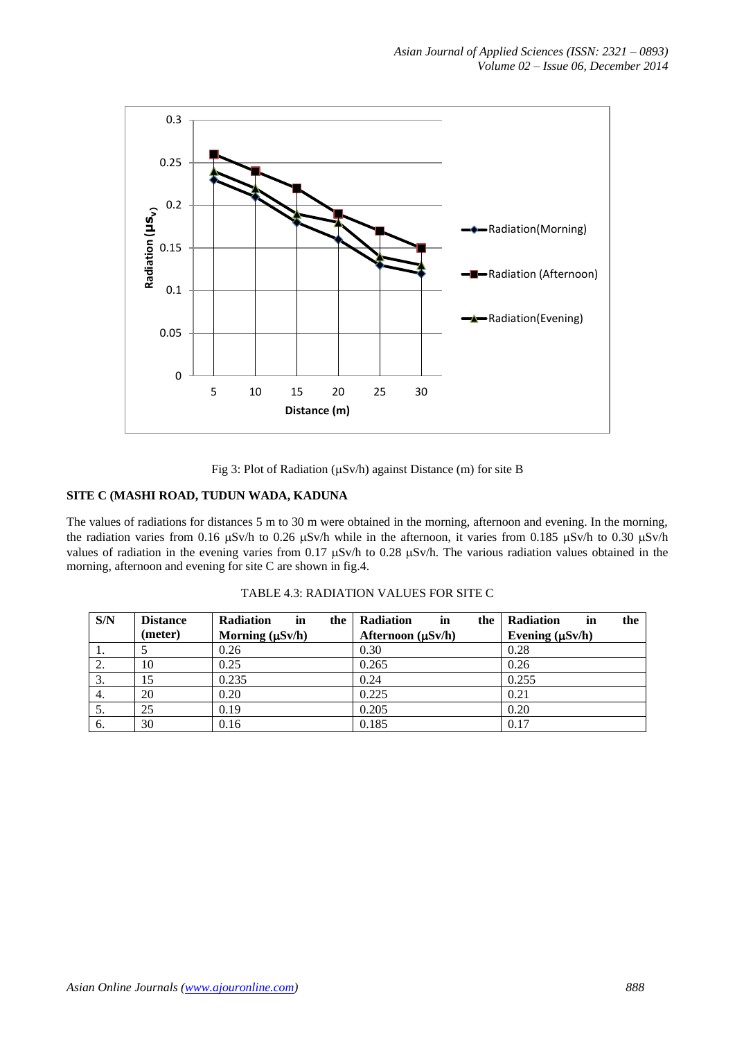

Fig 3: Plot of Radiation ( $\mu$ Sv/h) against Distance (m) for site B

# **SITE C (MASHI ROAD, TUDUN WADA, KADUNA**

The values of radiations for distances 5 m to 30 m were obtained in the morning, afternoon and evening. In the morning, the radiation varies from 0.16  $\mu$ Sv/h to 0.26  $\mu$ Sv/h while in the afternoon, it varies from 0.185  $\mu$ Sv/h to 0.30  $\mu$ Sv/h values of radiation in the evening varies from 0.17  $\mu$ Sv/h to 0.28  $\mu$ Sv/h. The various radiation values obtained in the morning, afternoon and evening for site C are shown in fig.4.

| S/N | <b>Distance</b> | <b>Radiation</b><br>in<br>the | Radiation<br>in<br>the | <b>Radiation</b><br>the<br>in |
|-----|-----------------|-------------------------------|------------------------|-------------------------------|
|     | (meter)         | Morning $(\mu Sv/h)$          | Afternoon (µSv/h)      | Evening $(\mu Sv/h)$          |
| 1.  |                 | 0.26                          | 0.30                   | 0.28                          |
| 2.  | 10              | 0.25                          | 0.265                  | 0.26                          |
| 3.  |                 | 0.235                         | 0.24                   | 0.255                         |
| 4.  | 20              | 0.20                          | 0.225                  | 0.21                          |
| 5.  | 25              | 0.19                          | 0.205                  | 0.20                          |
| 6.  | 30              | 0.16                          | 0.185                  | 0.17                          |

| TABLE 4.3: RADIATION VALUES FOR SITE C |  |  |
|----------------------------------------|--|--|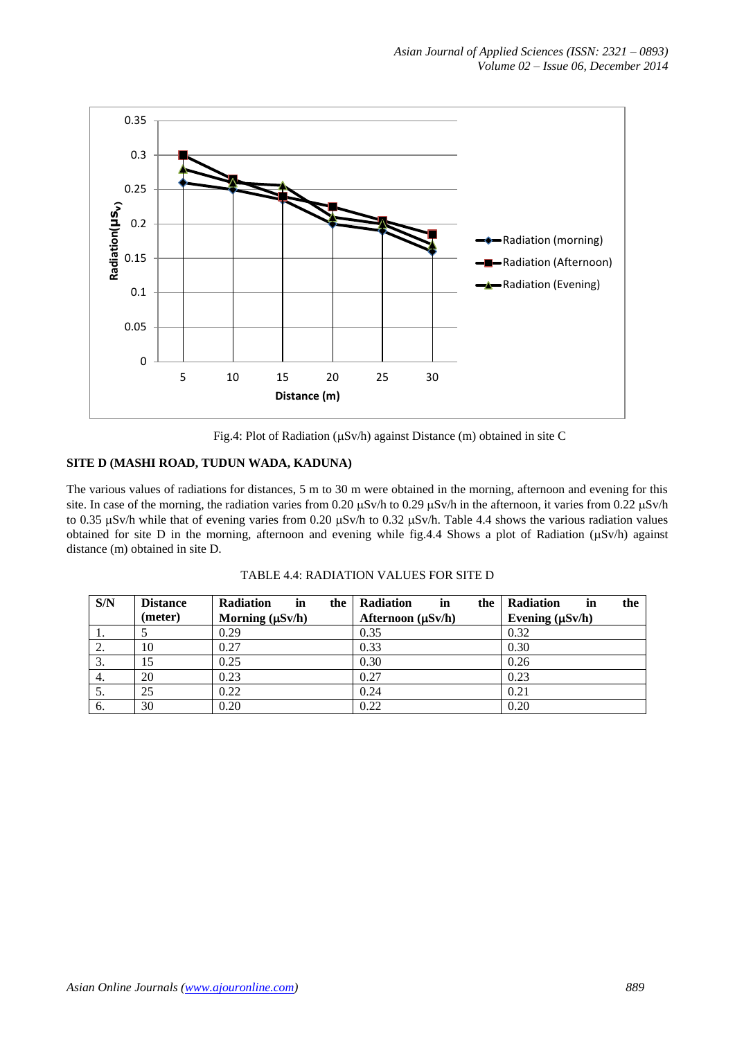

Fig.4: Plot of Radiation ( $\mu$ Sv/h) against Distance (m) obtained in site C

# **SITE D (MASHI ROAD, TUDUN WADA, KADUNA)**

The various values of radiations for distances, 5 m to 30 m were obtained in the morning, afternoon and evening for this site. In case of the morning, the radiation varies from 0.20  $\mu$ Sv/h to 0.29  $\mu$ Sv/h in the afternoon, it varies from 0.22  $\mu$ Sv/h to 0.35  $\mu$ Sv/h while that of evening varies from 0.20  $\mu$ Sv/h to 0.32  $\mu$ Sv/h. Table 4.4 shows the various radiation values obtained for site D in the morning, afternoon and evening while fig.4.4 Shows a plot of Radiation ( $\mu$ Sv/h) against distance (m) obtained in site D.

| S/N              | <b>Distance</b> | <b>Radiation</b><br>the<br>in | <b>Radiation</b><br>in<br>the | <b>Radiation</b><br>the<br>in |
|------------------|-----------------|-------------------------------|-------------------------------|-------------------------------|
|                  | (meter)         | Morning $(\mu Sv/h)$          | Afternoon $(\mu Sv/h)$        | Evening $(\mu Sv/h)$          |
| 1.               |                 | 0.29                          | 0.35                          | 0.32                          |
| 2.               | 10              | 0.27                          | 0.33                          | 0.30                          |
| 3.               |                 | 0.25                          | 0.30                          | 0.26                          |
| $\overline{4}$ . | 20              | 0.23                          | 0.27                          | 0.23                          |
| 5.               | 25              | 0.22                          | 0.24                          | 0.21                          |
| 6.               | 30              | 0.20                          | 0.22                          | 0.20                          |

TABLE 4.4: RADIATION VALUES FOR SITE D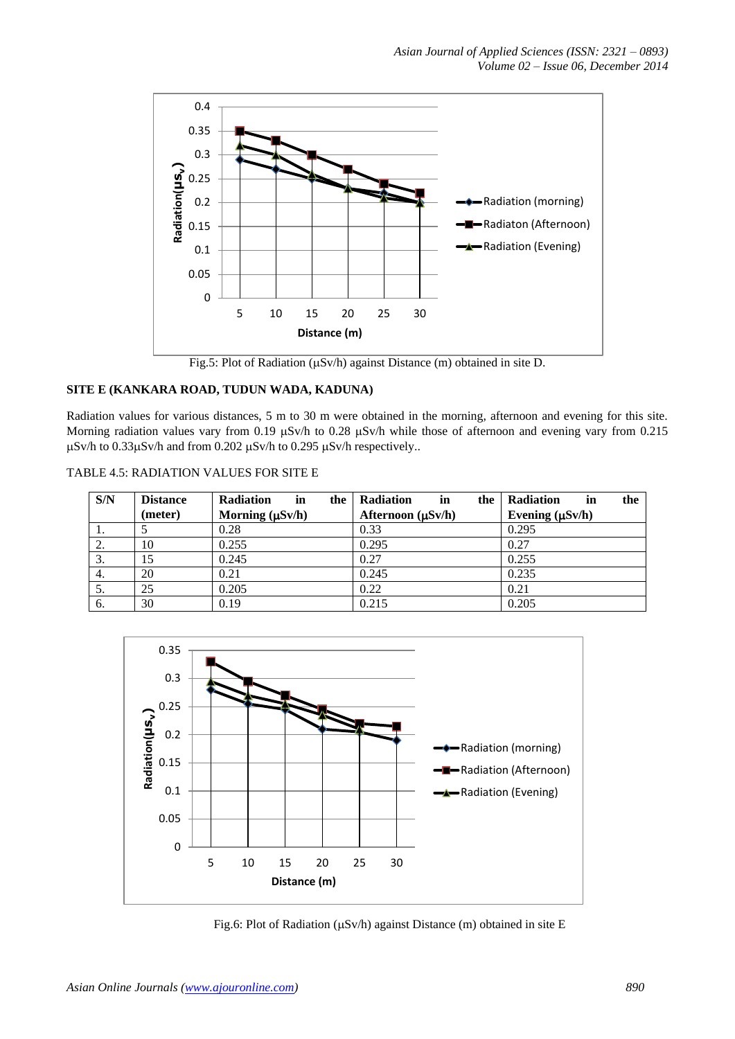

Fig.5: Plot of Radiation ( $\mu$ Sv/h) against Distance (m) obtained in site D.

# **SITE E (KANKARA ROAD, TUDUN WADA, KADUNA)**

Radiation values for various distances, 5 m to 30 m were obtained in the morning, afternoon and evening for this site. Morning radiation values vary from 0.19  $\mu$ Sv/h to 0.28  $\mu$ Sv/h while those of afternoon and evening vary from 0.215  $\mu$ Sv/h to 0.33 $\mu$ Sv/h and from 0.202  $\mu$ Sv/h to 0.295  $\mu$ Sv/h respectively..

| TABLE 4.5: RADIATION VALUES FOR SITE E |  |  |
|----------------------------------------|--|--|
|                                        |  |  |

| S/N              | <b>Distance</b> | <b>Radiation</b><br>in<br>the | <b>Radiation</b><br>in<br>the | Radiation<br>the<br>in |
|------------------|-----------------|-------------------------------|-------------------------------|------------------------|
|                  | (meter)         | Morning $(\mu Sv/h)$          | Afternoon $(\mu Sv/h)$        | Evening $(\mu Sv/h)$   |
| .,               |                 | 0.28                          | 0.33                          | 0.295                  |
| 2.               | 10              | 0.255                         | 0.295                         | 0.27                   |
| 3.               | 15              | 0.245                         | 0.27                          | 0.255                  |
| $\overline{4}$ . | 20              | 0.21                          | 0.245                         | 0.235                  |
| 5.               | 25              | 0.205                         | 0.22                          | 0.21                   |
| 6.               | 30              | 0.19                          | 0.215                         | 0.205                  |



Fig.6: Plot of Radiation ( $\mu$ Sv/h) against Distance (m) obtained in site E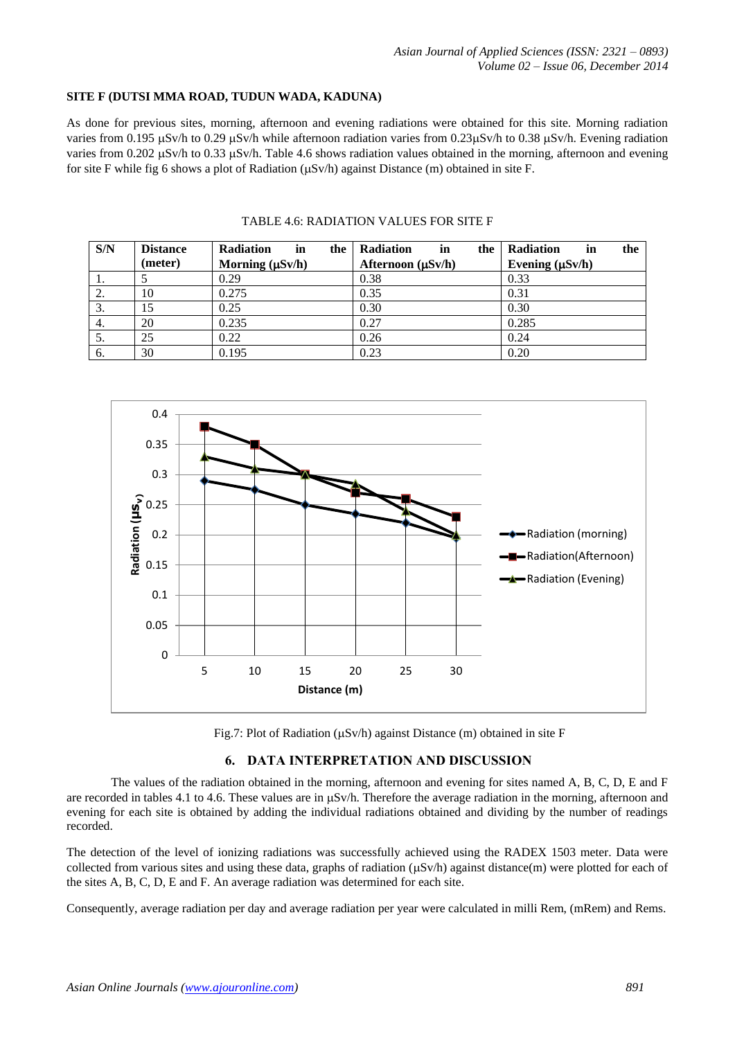### **SITE F (DUTSI MMA ROAD, TUDUN WADA, KADUNA)**

As done for previous sites, morning, afternoon and evening radiations were obtained for this site. Morning radiation varies from 0.195  $\mu$ Sv/h to 0.29  $\mu$ Sv/h while afternoon radiation varies from 0.23 $\mu$ Sv/h to 0.38  $\mu$ Sv/h. Evening radiation varies from 0.202  $\mu$ Sv/h to 0.33  $\mu$ Sv/h. Table 4.6 shows radiation values obtained in the morning, afternoon and evening for site F while fig 6 shows a plot of Radiation ( $\mu$ Sv/h) against Distance (m) obtained in site F.

| S/N | <b>Distance</b> | <b>Radiation</b><br>in<br>the | <b>Radiation</b><br>in<br>the | Radiation<br>the<br>in |
|-----|-----------------|-------------------------------|-------------------------------|------------------------|
|     | (meter)         | Morning $(\mu Sv/h)$          | Afternoon $(\mu Sv/h)$        | Evening $(\mu Sv/h)$   |
| 1.  |                 | 0.29                          | 0.38                          | 0.33                   |
| 2.  | 10              | 0.275                         | 0.35                          | 0.31                   |
| 3.  |                 | 0.25                          | 0.30                          | 0.30                   |
| 4.  | 20              | 0.235                         | 0.27                          | 0.285                  |
| 5.  | 25              | 0.22                          | 0.26                          | 0.24                   |
| 6.  | 30              | 0.195                         | 0.23                          | 0.20                   |

### TABLE 4.6: RADIATION VALUES FOR SITE F





### **6. DATA INTERPRETATION AND DISCUSSION**

The values of the radiation obtained in the morning, afternoon and evening for sites named A, B, C, D, E and F are recorded in tables 4.1 to 4.6. These values are in  $\mu$ Sv/h. Therefore the average radiation in the morning, afternoon and evening for each site is obtained by adding the individual radiations obtained and dividing by the number of readings recorded.

The detection of the level of ionizing radiations was successfully achieved using the RADEX 1503 meter. Data were collected from various sites and using these data, graphs of radiation  $(\mu Sv/h)$  against distance(m) were plotted for each of the sites A, B, C, D, E and F. An average radiation was determined for each site.

Consequently, average radiation per day and average radiation per year were calculated in milli Rem, (mRem) and Rems.